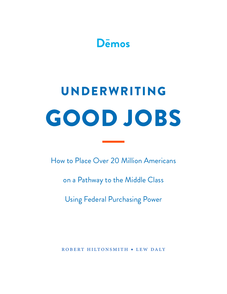

# GOOD JOBS UNDERWRITING

How to Place Over 20 Million Americans

on a Pathway to the Middle Class

Using Federal Purchasing Power

robert hiltonsmith • lew daly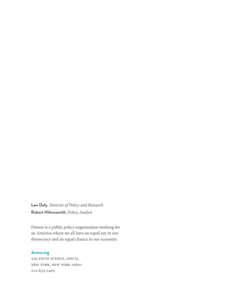**Lew Daly***, Director of Policy and Research* **Robert Hiltonsmith***, Policy Analyst*

Dēmos is a public policy organization working for an America where we all have an equal say in our democracy and an equal chance in our economy.

# **demos.org**

220 fifth avenue, 2nd fl. new york, new york 10001 212.633.1405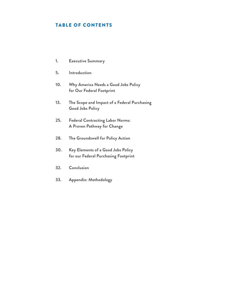# TABLE OF CONTENTS

- **1. [Executive Summary](#page-3-0)**
- **5. [Introduction](#page-7-0)**
- **10. [Why America Needs a Good Jobs Policy](#page-12-0) [for Our Federal Footprint](#page-12-0)**
- **[13. The Scope and Impact of a Federal Purchasing](#page-15-0) [Good Jobs Policy](#page-15-0)**
- **[25. Federal Contracting Labor Norms:](#page-27-0) [A Proven Pathway for Change](#page-27-0)**
- **[28. The Groundswell for Policy Action](#page-30-0)**
- **30[. Key Elements of a Good Jobs Policy](#page-32-0) [for our Federal Purchasing Footprint](#page-32-0)**
- **[32. Conclusion](#page-34-0)**
- **[33. Appendix: Methodology](#page-35-0)**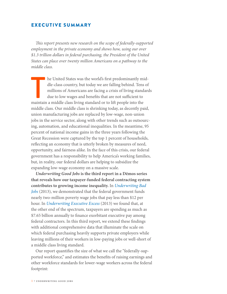# <span id="page-3-0"></span>EXECUTIVE SUMMARY

*This report presents new research on the scope of federally-supported employment in the private economy and shows how, using our over \$1.3 trillion dollars in federal purchasing, the President of the United States can place over twenty million Americans on a pathway to the middle class.*

The United States was the world's first predominantly middle-class country, but today we are falling behind. Tens millions of Americans are facing a crisis of living stand due to low wages and benefits that are not suffici he United States was the world's first predominantly middle-class country, but today we are falling behind. Tens of millions of Americans are facing a crisis of living standards due to low wages and benefits that are not sufficient to middle class. Our middle class is shrinking today, as decently paid, union manufacturing jobs are replaced by low-wage, non-union jobs in the service sector, along with other trends such as outsourcing, automation, and educational inequalities. In the meantime, 95 percent of national income gains in the three years following the Great Recession were captured by the top 1 percent of households, reflecting an economy that is utterly broken by measures of need, opportunity, and fairness alike. In the face of this crisis, our federal government has a responsibility to help America's working families, but, in reality, our federal dollars are helping to subsidize the expanding low-wage economy on a massive scale.

*Underwriting Good Jobs* **is the third report in a Dēmos series that reveals how our taxpayer-funded federal contracting system contributes to growing income inequality.** In *[Underwriting Bad](http://www.demos.org/publication/underwriting-bad-jobs-how-our-tax-dollars-are-funding-low-wage-work-and-fueling-inequali)  [Jobs](http://www.demos.org/publication/underwriting-bad-jobs-how-our-tax-dollars-are-funding-low-wage-work-and-fueling-inequali)* (2013), we demonstrated that the federal government funds nearly two-million poverty wage jobs that pay less than \$12 per hour. In *[Underwriting Executive Excess](http://www.demos.org/publication/underwriting-executive-excess-0)* (2013) we found that, at the other end of the spectrum, taxpayers are spending as much as \$7.65 billion annually to finance exorbitant executive pay among federal contractors. In this third report, we extend these findings with additional comprehensive data that illuminate the scale on which federal purchasing heavily supports private employers while leaving millions of their workers in low-paying jobs or well-short of a middle class living standard.

Our report quantifies the size of what we call the "federally-supported workforce," and estimates the benefits of raising earnings and other workforce standards for lower-wage workers across the federal footprint: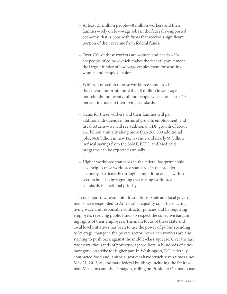- At least 21 million people—8 million workers and their families—rely on low-wage jobs in the federally-supported economy, that is, jobs with firms that receive a significant portion of their revenue from federal funds.
- Over 70% of these workers are women and nearly 45% are people of color—which makes the federal government the largest funder of low-wage employment for working women and people of color.
- With robust action to raise workforce standards in the federal footprint, more than 8 million lower-wage households and twenty million people will see at least a 20 percent increase in their living standards.
- Gains for these workers and their families will pay additional dividends in terms of growth, employment, and fiscal returns—we will see additional GDP growth of about \$31 billion annually along more than 260,000 additional jobs; \$6.8 billion in new tax revenue and nearly \$9 billion in fiscal savings from the SNAP, EITC, and Medicaid programs can be expected annually.
- Higher workforce standards in the federal footprint could also help to raise workforce standards in the broader economy, particularly through competition effects within sectors but also by signaling that raising workforce standards is a national priority.

In our report, we also point to solutions. State and local governments have responded to America's inequality crisis by enacting living wage and responsible contractor policies and by requiring employers receiving public funds to respect the collective bargaining rights of their employees. The main focus of these state and local level initiatives has been to use the power of public spending to leverage change in the private sector. American workers are also starting to push back against the middle-class squeeze. Over the last two years, thousands of poverty-wage workers in hundreds of cities have gone on strike for higher pay. In Washington, DC, federally contracted food and janitorial workers have struck seven times since May 21, 2013, at landmark federal buildings including the Smithsonian Museums and the Pentagon, calling on President Obama to use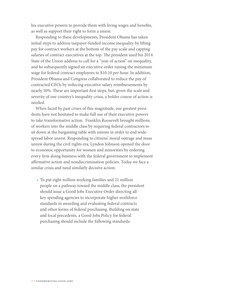his executive powers to provide them with living wages and benefits, as well as support their right to form a union.

Responding to these developments, President Obama has taken initial steps to address taxpayer-funded income inequality by lifting pay for contract workers at the bottom of the pay scale and capping salaries of contract executives at the top**.** The president used his 2014 State of the Union address to call for a "year of action" on inequality, and he subsequently signed an executive order raising the minimum wage for federal contract employees to \$10.10 per hour. In addition, President Obama and Congress collaborated to reduce the pay of contracted CEOs by reducing executive salary reimbursements by nearly 50%. These are important first steps, but, given the scale and severity of our country's inequality crisis, a bolder course of action is needed.

When faced by past crises of this magnitude, our greatest presidents have not hesitated to make full use of their executive powers to take transformative action. Franklin Roosevelt brought millions of workers into the middle class by requiring federal contractors to sit down at the bargaining table with unions in order to end widespread labor unrest. Responding to citizens' moral outrage and mass unrest during the civil rights era, Lyndon Johnson opened the door to economic opportunity for women and minorities by ordering every firm doing business with the federal government to implement affirmative action and nondiscrimination policies. Today we face a similar crisis and need similarly decisive action:

• To put eight million working families and 21 million people on a pathway toward the middle class, the president should issue a Good Jobs Executive Order directing all key spending agencies to incorporate higher workforce standards in awarding and evaluating federal contracts and other forms of federal purchasing. Building on state and local precedents, a Good Jobs Policy for federal purchasing should include the following standards: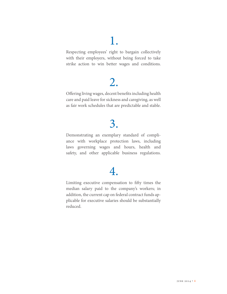# 1.

Respecting employees' right to bargain collectively with their employers, without being forced to take strike action to win better wages and conditions.

# 2.

Offering living wages, decent benefits including health care and paid leave for sickness and caregiving, as well as fair work schedules that are predictable and stable.

# 3.

Demonstrating an exemplary standard of compliance with workplace protection laws, including laws governing wages and hours, health and safety, and other applicable business regulations.

# 4.

Limiting executive compensation to fifty times the median salary paid to the company's workers; in addition, the current cap on federal contract funds applicable for executive salaries should be substantially reduced.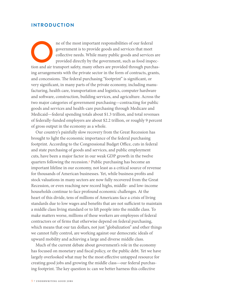# <span id="page-7-0"></span>**INTRODUCTION**

ne of the most important responsibilities of our federal government is to provide goods and services that meet collective needs. While many public goods and services are provided directly by the government, such as food in government is to provide goods and services that meet collective needs. While many public goods and services are provided directly by the government, such as food inspecing arrangements with the private sector in the form of contracts, grants, and concessions. The federal purchasing "footprint" is significant, or very significant, in many parts of the private economy, including manufacturing, health care, transportation and logistics, computer hardware and software, construction, building services, and agriculture. Across the two major categories of government purchasing—contracting for public goods and services and health-care purchasing through Medicare and Medicaid—federal spending totals about \$1.3 trillion, and total revenues of federally-funded employers are about \$2.2 trillion, or roughly 9 percent of gross output in the economy as a whole.

Our country's painfully slow recovery from the Great Recession has brought to light the economic importance of the federal purchasing footprint. According to the Congressional Budget Office, cuts in federal and state purchasing of goods and services, and public employment cuts, have been a major factor in our weak GDP growth in the twelve quarters following the recession.1 Public purchasing has become an important lifeline in our economy, not least as a critical source of revenue for thousands of American businesses. Yet, while business profits and stock valuations in many sectors are now fully recovered from the Great Recession, or even reaching new record highs, middle- and low-income households continue to face profound economic challenges. At the heart of this divide, tens of millions of Americans face a crisis of living standards due to low wages and benefits that are not sufficient to maintain a middle class living standard or to lift people into the middle class. To make matters worse, millions of these workers are employees of federal contractors or of firms that otherwise depend on federal purchasing, which means that our tax dollars, not just "globalization" and other things we cannot fully control, are working against our democratic ideals of upward mobility and achieving a large and diverse middle class.

Much of the current debate about government's role in the economy has focused on monetary and fiscal policy, or the public debt. Yet we have largely overlooked what may be the most effective untapped resource for creating good jobs and growing the middle class—our federal purchasing footprint. The key question is: can we better harness this collective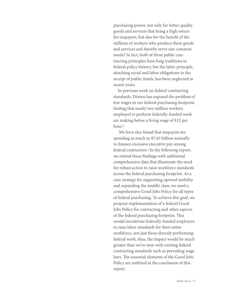purchasing power, not only for better quality goods and services that bring a high return for taxpayers, but also for the benefit of the millions of workers who produce these goods and services and thereby serve our common needs? In fact, both of these public contracting principles have long traditions in federal policy history, but the latter principle, attaching social and labor obligations to the receipt of public funds, has been neglected in recent years.

In previous work on federal contracting standards, Dēmos has exposed the problem of low wages in our federal purchasing footprint, finding that nearly two million workers employed to perform federally-funded work are making below a living wage of \$12 per hour.2

 We have also found that taxpayers are spending as much as \$7.65 billion annually to finance excessive executive pay among federal contractors.3In the following report, we extend these findings with additional comprehensive data that illuminate the need for robust action to raise workforce standards across the federal purchasing footprint. As a core strategy for supporting upward mobility and expanding the middle class, we need a comprehensive Good Jobs Policy for all types of federal purchasing. To achieve this goal, we propose implementation of a federal Good Jobs Policy for contracting and other aspects of the federal purchasing footprint. This would incentivize federally-funded employers to raise labor standards for their entire workforce, not just those directly performing federal work; thus, the impact would be much greater than we've seen with existing federal contracting standards such as prevailing wage laws. The essential elements of the Good Jobs Policy are outlined in the conclusion of this report.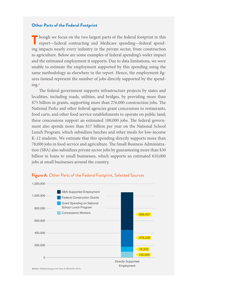#### **Other Parts of the Federal Footprint**

Though we focus on the two largest parts of the federal footprint in this report—federal contracting and Medicare spending—federal spending impacts nearly every industry in the private sector, from construction to agriculture. Below are some examples of federal spending's wider impact and the estimated employment it supports. Due to data limitations, we were unable to estimate the employment supported by this spending using the same methodology as elsewhere in the report. Hence, the employment figures instead represent the number of jobs directly supported by the spending.4

 The federal government supports infrastructure projects by states and localities, including roads, utilities, and bridges, by providing more than \$75 billion in grants, supporting more than 276,000 construction jobs. The National Parks and other federal agencies grant concessions to restaurants, food carts, and other food service establishments to operate on public land; these concessions support an estimated 100,000 jobs. The federal government also spends more than \$17 billion per year on the National School Lunch Program, which subsidizes lunches and other meals for low-income K-12 students. We estimate that this spending directly supports more than 78,000 jobs in food service and agriculture. The Small Business Administration (SBA) also subsidizes private sector jobs by guaranteeing more than \$30 billion in loans to small businesses, which supports an estimated 610,000 jobs at small businesses around the country.



#### **Figure A.** Other Parts of the Federal Footprint, Selected Sources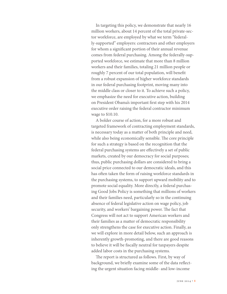In targeting this policy, we demonstrate that nearly 16 million workers, about 14 percent of the total private-sector workforce, are employed by what we term "federally-supported" employers: contractors and other employers for whom a significant portion of their annual revenue comes from federal purchasing. Among the federally-supported workforce, we estimate that more than 8 million workers and their families, totaling 21 million people or roughly 7 percent of our total population, will benefit from a robust expansion of higher workforce standards in our federal purchasing footprint, moving many into the middle class or closer to it. To achieve such a policy, we emphasize the need for executive action, building on President Obama's important first step with his 2014 executive order raising the federal contractor minimum wage to \$10.10.

A bolder course of action, for a more robust and targeted framework of contracting employment standards, is necessary today as a matter of both principle and need, while also being economically sensible. The core principle for such a strategy is based on the recognition that the federal purchasing systems are effectively a set of public markets, created by our democracy for social purposes; thus, public purchasing dollars are considered to bring a social price connected to our democratic ideals, and this has often taken the form of raising workforce standards in the purchasing systems, to support upward mobility and to promote social equality. More directly, a federal purchasing Good Jobs Policy is something that millions of workers and their families need, particularly so in the continuing absence of federal legislative action on wage policy, job security, and workers' bargaining power. The fact that Congress will not act to support American workers and their families as a matter of democratic responsibility only strengthens the case for executive action. Finally, as we will explore in more detail below, such an approach is inherently growth-promoting, and there are good reasons to believe it will be fiscally neutral for taxpayers despite added labor costs in the purchasing systems.

The report is structured as follows. First, by way of background, we briefly examine some of the data reflecting the urgent situation facing middle- and low-income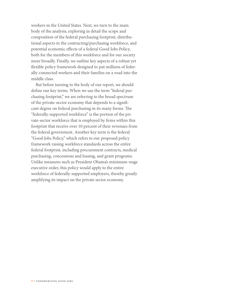workers in the United States. Next, we turn to the main body of the analysis, exploring in detail the scope and composition of the federal purchasing footprint, distributional aspects in the contracting/purchasing workforce, and potential economic effects of a federal Good Jobs Policy, both for the members of this workforce and for our society more broadly. Finally, we outline key aspects of a robust yet flexible policy framework designed to put millions of federally-connected workers and their families on a road into the middle class.

But before turning to the body of our report, we should define our key terms. When we use the term "federal purchasing footprint," we are referring to the broad spectrum of the private-sector economy that depends to a significant degree on federal purchasing in its many forms. The "federally-supported workforce" is the portion of the private-sector workforce that is employed by firms within this footprint that receive over 10 percent of their revenues from the federal government. Another key term is the federal "Good Jobs Policy," which refers to our proposed policy framework raising workforce standards across the entire federal footprint, including procurement contracts, medical purchasing, concessions and leasing, and grant programs. Unlike measures such as President Obama's minimum-wage executive order, this policy would apply to the entire workforce of federally-supported employers, thereby greatly amplifying its impact on the private sector economy.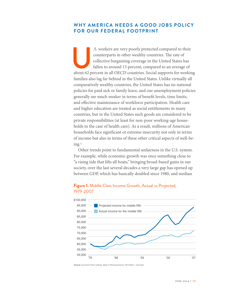# <span id="page-12-0"></span>**WHY AMERICA NEEDS A GOOD JOBS POLICY FOR OUR FEDERAL FOOTPRINT**

S. workers are very poorly protected compared to their counterparts in other wealthy countries. The rate of collective bargaining coverage in the United States has fallen to around 13 percent, compared to an average of abo counterparts in other wealthy countries. The rate of collective bargaining coverage in the United States has fallen to around 13 percent, compared to an average of families also lag far behind in the United States. Unlike virtually all comparatively wealthy countries, the United States has no national policies for paid sick or family leave, and our unemployment policies generally are much weaker in terms of benefit levels, time limits, and effective maintenance of workforce participation. Health care and higher education are treated as social entitlements in many countries, but in the United States such goods are considered to be private responsibilities (at least for non-poor working-age households in the case of health care). As a result, millions of American households face significant or extreme insecurity not only in terms of income but also in terms of these other critical aspects of well-being.5

Other trends point to fundamental unfairness in the U.S. system. For example, while economic growth was once something close to "a rising tide that lifts all boats," bringing broad-based gains in our society, over the last several decades a very large gap has opened up between GDP, which has basically doubled since 1980, and median



### **Figure 1.** Middle Class Income Growth, Actual vs Projected, 1979-2007

**Source:** Economic Policy Institute, State of Working America 12th Edition, "Overview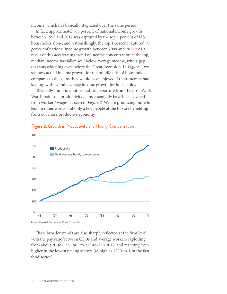income, which has basically stagnated over the same period.

In fact, approximately 68 percent of national income growth between 1993 and 2012 was captured by the top 1 percent of U.S. households alone, and, astonishingly, the top 1 percent captured *95 percent* of national income growth between 2009 and 2012.6 As a result of this accelerating trend of income concentration at the top, median income has fallen well below average income, with a gap that was widening even before the Great Recession. In *Figure 1*, we see how actual income growth for the middle fifth of households compares to the gains they would have enjoyed if their income had kept up with overall average income growth for households.

 Relatedly—and in another radical departure from the post-World War II pattern—productivity gains essentially have been severed from workers' wages, as seen in *Figure 2.* We are producing more for less, in other words, but only a few people at the top are benefiting from our more productive economy.



#### **Figure 2.** Growth in Productivity and Hourly Compensation

These broader trends are also sharply reflected at the firm level, with the pay ratio between CEOs and average workers exploding from about 20-to-1 in 1965 to 272-to-1 in 2012, and reaching even higher in the lowest paying sectors (as high as 1200-to-1 in the fast food sector).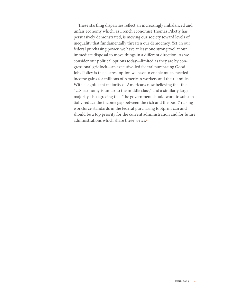These startling disparities reflect an increasingly imbalanced and unfair economy which, as French economist Thomas Piketty has persuasively demonstrated, is moving our society toward levels of inequality that fundamentally threaten our democracy. Yet, in our federal purchasing power, we have at least one strong tool at our immediate disposal to move things in a different direction. As we consider our political options today—limited as they are by congressional gridlock—an executive-led federal purchasing Good Jobs Policy is the clearest option we have to enable much-needed income gains for millions of American workers and their families. With a significant majority of Americans now believing that the "U.S. economy is unfair to the middle class," and a similarly large majority also agreeing that "the government should work to substantially reduce the income gap between the rich and the poor," raising workforce standards in the federal purchasing footprint can and should be a top priority for the current administration and for future administrations which share these views.7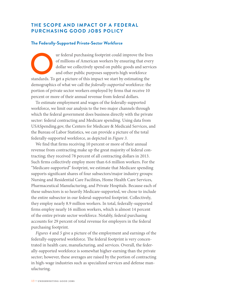# <span id="page-15-0"></span>**THE SCOPE AND IMPACT OF A FEDERAL PURCHASING GOOD JOBS POLICY**

#### **The Federally-Supported Private-Sector Workforce**

Figure 1 are the lives of millions of American workers by ensuring that every dollar we collectively spend on public goods and service and other public purposes supports high workforce standards. To get a picture of this i of millions of American workers by ensuring that every dollar we collectively spend on public goods and services and other public purposes supports high workforce demographics of what we call the *federally-supported* workforce: the portion of private sector workers employed by firms that receive 10 percent or more of their annual revenue from federal dollars.

To estimate employment and wages of the federally-supported workforce, we limit our analysis to the two major channels through which the federal government does business directly with the private sector: federal contracting and Medicare spending. Using data from USASpending.gov, the Centers for Medicare & Medicaid Services, and the Bureau of Labor Statistics, we can provide a picture of the total federally-supported workforce, as depicted in *Figure 3*.

We find that firms receiving 10 percent or more of their annual revenue from contracting make up the great majority of federal contracting; they received 78 percent of all contracting dollars in 2013. Such firms collectively employ more than 6.6 million workers. For the "Medicare-supported" footprint, we estimate that Medicare spending supports significant shares of four subsectors/major industry groups: Nursing and Residential Care Facilities, Home Health Care Services, Pharmaceutical Manufacturing, and Private Hospitals. Because each of these subsectors is so heavily Medicare-supported, we chose to include the entire subsector in our federal-supported footprint. Collectively, they employ nearly 8.9 million workers. In total, federally-supported firms employ nearly 16 million workers, which is almost 14 percent of the entire private sector workforce. Notably, federal purchasing accounts for 29 percent of total revenue for employers in the federal purchasing footprint.

*Figures 4* and *5* give a picture of the employment and earnings of the federally-supported workforce. The federal footprint is very concentrated in health care, manufacturing, and services. Overall, the federally-supported workforce is somewhat higher-earning than the private sector; however, these averages are raised by the portion of contracting in high-wage industries such as specialized services and defense manufacturing.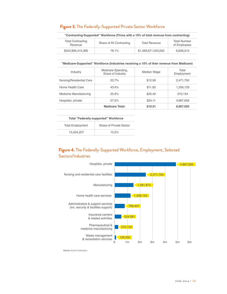|  |  |  | Figure 3. The Federally-Supported Private Sector Workforce |
|--|--|--|------------------------------------------------------------|
|  |  |  |                                                            |

| "Contracting-Supported" Workforce (Firms with $\geq 10\%$ of total revenue from contracting) |                          |                      |                                     |  |
|----------------------------------------------------------------------------------------------|--------------------------|----------------------|-------------------------------------|--|
| <b>Total Contracting</b><br>Revenue                                                          | Share of All Contracting | <b>Total Revenue</b> | <b>Total Number</b><br>of Employees |  |
| \$342.995.415.369                                                                            | 78.1%                    | \$1,069,671,053,630  | 6.636.515                           |  |

#### **"Medicare-Supported" Workforce (Industries receiving ≥ 10% of their revenue from Medicare)**

| Industry                 | Medicare Spending,<br>Share of Industry | Median Wage | Total<br>Employment |
|--------------------------|-----------------------------------------|-------------|---------------------|
| Nursing/Residential Care | 227%                                    | \$12.56     | 2,471,750           |
| Home Health Care         | 43.4%                                   | \$11.93     | 1,256,133           |
| Medicine Manufacturing   | 25.9%                                   | \$25.42     | 272.154             |
| Hospitals, private       | 27.2%                                   | \$24.11     | 4,867,656           |
|                          | <b>Medicare Total:</b>                  | \$19.21     | 8,867,693           |

| Total "Federally-supported" Workforce |                         |  |  |  |
|---------------------------------------|-------------------------|--|--|--|
| <b>Total Employment</b>               | Share of Private Sector |  |  |  |
| 15.504.207                            | 13.5%                   |  |  |  |

# **Figure 4.** The Federally-Supported Workforce, Employment, Selected Sectors/Industries

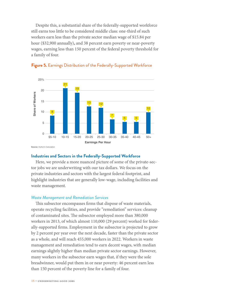Despite this, a substantial share of the federally-supported workforce still earns too little to be considered middle class: one-third of such workers earn less than the private sector median wage of \$15.84 per hour (\$32,900 annually)**,** and 38 percent earn poverty or near-poverty wages, earning less than 150 percent of the federal poverty threshold for a family of four.



# **Figure 5.** Earnings Distribution of the Federally-Supported Workforce

#### **Industries and Sectors in the Federally-Supported Workforce**

Here, we provide a more nuanced picture of some of the private-sector jobs we are underwriting with our tax dollars. We focus on the private industries and sectors with the largest federal footprint, and highlight industries that are generally low-wage, including facilities and waste management.

#### *Waste Management and Remediation Services*

This subsector encompasses firms that dispose of waste materials, operate recycling facilities, and provide "remediation" services: cleanup of contaminated sites. The subsector employed more than 380,000 workers in 2013, of which almost 110,000 (29 percent) worked for federally-supported firms. Employment in the subsector is projected to grow by 2 percent per year over the next decade, faster than the private sector as a whole, and will reach 455,000 workers in 2022. Workers in waste management and remediation tend to earn decent wages, with median earnings slightly higher than median private sector earnings. However, many workers in the subsector earn wages that, if they were the sole breadwinner, would put them in or near poverty: 46 percent earn less than 150 percent of the poverty line for a family of four.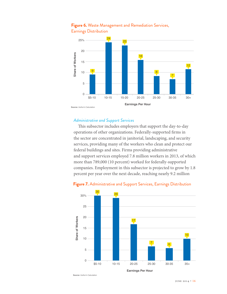

# **Figure 6.** Waste Management and Remediation Services, Earnings Distribution

#### *Administrative and Support Services*

This subsector includes employers that support the day-to-day operations of other organizations. Federally-supported firms in the sector are concentrated in janitorial, landscaping, and security services, providing many of the workers who clean and protect our federal buildings and sites. Firms providing administrative and support services employed 7.8 million workers in 2013, of which more than 789,000 (10 percent) worked for federally-supported companies. Employment in this subsector is projected to grow by 1.8 percent per year over the next decade, reaching nearly 9.2 million



#### **Figure 7.** Administrative and Support Services, Earnings Distribution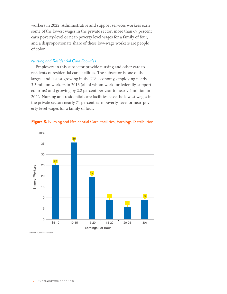workers in 2022. Administrative and support services workers earn some of the lowest wages in the private sector: more than 69 percent earn poverty-level or near-poverty level wages for a family of four, and a disproportionate share of these low-wage workers are people of color.

#### *Nursing and Residential Care Facilities*

Employers in this subsector provide nursing and other care to residents of residential care facilities. The subsector is one of the largest and fastest growing in the U.S. economy, employing nearly 3.3 million workers in 2013 (all of whom work for federally-supported firms) and growing by 2.2 percent per year to nearly 4 million in 2022. Nursing and residential care facilities have the lowest wages in the private sector: nearly 71 percent earn poverty-level or near-poverty level wages for a family of four.



### **Figure 8.** Nursing and Residential Care Facilities, Earnings Distribution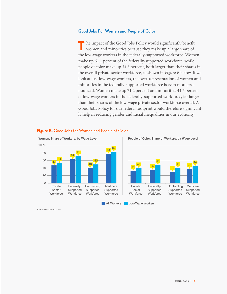#### **Good Jobs For Women and People of Color**

The impact of the Good Jobs Policy would significantly benefit women and minorities because they make up a large share of the low-wage workers in the federally-supported workforce. Women make up 61.1 percent of the federally-supported workforce, while people of color make up 34.8 percent, both larger than their shares in the overall private sector workforce, as shown in *Figure B* below. If we look at just low-wage workers, the over-representation of women and minorities in the federally-supported workforce is even more pronounced. Women make up 71.2 percent and minorities 44.7 percent of low-wage workers in the federally-supported workforce, far larger than their shares of the low-wage private sector workforce overall. A Good Jobs Policy for our federal footprint would therefore significantly help in reducing gender and racial inequalities in our economy.



#### **Figure B.** Good Jobs for Women and People of Color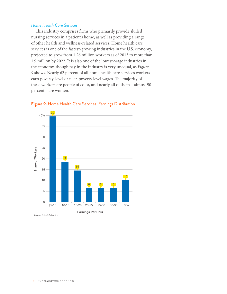### *Home Health Care Services*

This industry comprises firms who primarily provide skilled nursing services in a patient's home, as well as providing a range of other health and wellness-related services. Home health care services is one of the fastest-growing industries in the U.S. economy, projected to grow from 1.26 million workers as of 2013 to more than 1.9 million by 2022. It is also one of the lowest-wage industries in the economy, though pay in the industry is very unequal, as *Figure 9* shows. Nearly 62 percent of all home health care services workers earn poverty-level or near-poverty level wages. The majority of these workers are people of color, and nearly all of them—almost 90 percent—are women.



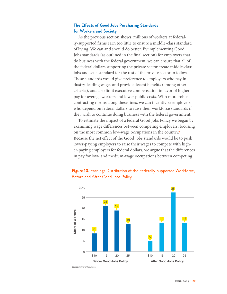# **The Effects of Good Jobs Purchasing Standards for Workers and Society**

As the previous section shows, millions of workers at federally-supported firms earn too little to ensure a middle-class standard of living. We can and should do better. By implementing Good Jobs standards (as outlined in the final section) for employers that do business with the federal government, we can ensure that all of the federal dollars supporting the private sector create middle-class jobs and set a standard for the rest of the private sector to follow. These standards would give preference to employers who pay industry-leading wages and provide decent benefits (among other criteria), and also limit executive compensation in favor of higher pay for average workers and lower public costs. With more robust contracting norms along these lines, we can incentivize employers who depend on federal dollars to raise their workforce standards if they wish to continue doing business with the federal government.

To estimate the impact of a federal Good Jobs Policy we began by examining wage differences between competing employers, focusing on the most common low-wage occupations in the country.<sup>8</sup> Because the net effect of the Good Jobs standards would be to push lower-paying employers to raise their wages to compete with higher-paying employers for federal dollars, we argue that the differences in pay for low- and medium-wage occupations between competing

# **Figure 10.** Earnings Distribution of the Federally-supported Workforce, Before and After Good Jobs Policy



**Source:** Author's Calculation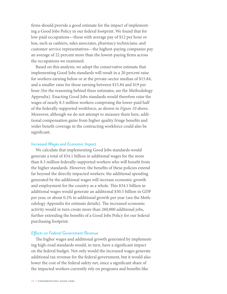firms should provide a good estimate for the impact of implementing a Good Jobs Policy in our federal footprint. We found that for low-paid occupations—those with average pay of \$12 per hour or less, such as cashiers, sales associates, pharmacy technicians, and customer service representatives—the highest-paying companies pay an average of 22 percent more than the lowest-paying firms across the occupations we examined.

Based on this analysis, we adopt the conservative estimate that implementing Good Jobs standards will result in a 20 percent raise for workers earning below or at the private-sector median of \$15.84, and a smaller raise for those earning between \$15.84 and \$19 per hour (for the reasoning behind these estimates, see the Methodology Appendix). Enacting Good Jobs standards would therefore raise the wages of nearly 8.3 million workers comprising the lower-paid half of the federally-supported workforce, as shown in *Figure 10* above. Moreover, although we do not attempt to measure them here, additional compensation gains from higher quality fringe benefits and wider benefit coverage in the contracting workforce could also be significant.

#### *Increased Wages and Economic Impact*

We calculate that implementing Good Jobs standards would generate a total of \$34.1 billion in additional wages for the more than 8.3 million federally-supported workers who will benefit from the higher standards. However, the benefits of these policies extend far beyond the directly impacted workers: the additional spending generated by the additional wages will increase economic growth and employment for the country as a whole. This \$34.1 billion in additional wages would generate an additional \$30.5 billion in GDP per year, or about 0.2% in additional growth per year (see the Methodology Appendix for estimate details). The increased economic activity would in turn create more than 260,000 additional jobs, further extending the benefits of a Good Jobs Policy for our federal purchasing footprint.

#### *Effects on Federal Government Revenue*

The higher wages and additional growth generated by implementing high-road standards would, in turn, have a significant impact on the federal budget. Not only would the increased wages generate additional tax revenue for the federal government, but it would also lower the cost of the federal safety net, since a significant share of the impacted workers currently rely on programs and benefits like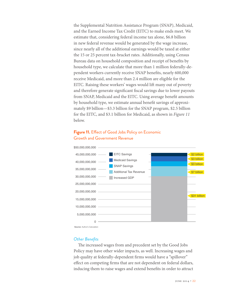the Supplemental Nutrition Assistance Program (SNAP), Medicaid, and the Earned Income Tax Credit (EITC) to make ends meet. We estimate that, considering federal income tax alone, \$6.8 billion in new federal revenue would be generated by the wage increase, since nearly all of the additional earnings would be taxed at either the 15 or 25 percent tax-bracket rates. Additionally, using Census Bureau data on household composition and receipt of benefits by household type, we calculate that more than 1 million federally-dependent workers currently receive SNAP benefits, nearly 600,000 receive Medicaid, and more than 2.4 million are eligible for the EITC. Raising these workers' wages would lift many out of poverty and therefore generate significant fiscal savings due to lower payouts from SNAP, Medicaid and the EITC. Using average benefit amounts by household type, we estimate annual benefit savings of approximately \$9 billion—\$3.3 billion for the SNAP program, \$2.5 billion for the EITC, and \$3.1 billion for Medicaid, as shown in *Figure 11* below.

# **Figure 11.** Effect of Good Jobs Policy on Economic Growth and Government Revenue



**Source:** Author's Calculation

#### *Other Benefits*

The increased wages from and precedent set by the Good Jobs Policy may have other wider impacts, as well. Increasing wages and job quality at federally-dependent firms would have a "spillover" effect on competing firms that are not dependent on federal dollars, inducing them to raise wages and extend benefits in order to attract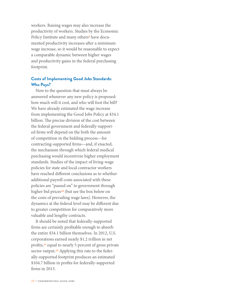workers. Raising wages may also increase the productivity of workers. Studies by the Economic Policy Institute and many others<sup>9</sup> have documented productivity increases after a minimum wage increase, so it would be reasonable to expect a comparable dynamic between higher wages and productivity gains in the federal purchasing footprint.

# **Costs of Implementing Good Jobs Standards: Who Pays?**

Now to the question that must always be answered whenever any new policy is proposed: how much will it cost, and who will foot the bill? We have already estimated the wage increase from implementing the Good Jobs Policy at \$34.1 billion. The precise division of the cost between the federal government and federally-supported firms will depend on the both the amount of competition in the bidding process—for contracting-supported firms—and, if enacted, the mechanism through which federal medical purchasing would incentivize higher employment standards. Studies of the impact of living-wage policies for state and local contractor workers have reached different conclusions as to whether additional payroll costs associated with these policies are "passed on" to government through higher bid prices<sup>10</sup> (but see the box below on the costs of prevailing wage laws). However, the dynamics at the federal level may be different due to greater competition for comparatively more valuable and lengthy contracts.

It should be noted that federally-supported firms are certainly profitable enough to absorb the entire \$34.1 billion themselves. In 2012, U.S. corporations earned nearly \$1.2 trillion in net profits,11 equal to nearly 5 percent of gross private sector output.<sup>12</sup> Applying this rate to the federally-supported footprint produces an estimated \$104.7 billion in profits for federally-supported firms in 2013.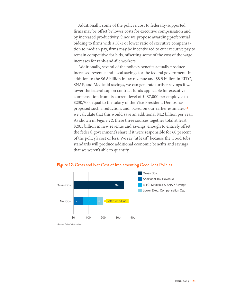Additionally, some of the policy's cost to federally-supported firms may be offset by lower costs for executive compensation and by increased productivity. Since we propose awarding preferential bidding to firms with a 50-1 or lower ratio of executive compensation to median pay, firms may be incentivized to cut executive pay to remain competitive for bids, offsetting some of the cost of the wage increases for rank-and-file workers.

Additionally, several of the policy's benefits actually produce increased revenue and fiscal savings for the federal government. In addition to the \$6.8 billion in tax revenue and \$8.9 billion in EITC, SNAP, and Medicaid savings, we can generate further savings if we lower the federal cap on contract funds applicable for executive compensation from its current level of \$487,000 per employee to \$230,700, equal to the salary of the Vice President. Demos has proposed such a reduction, and, based on our earlier estimates,13 we calculate that this would save an additional \$4.2 billion per year. As shown in *Figure 12*, these three sources together total at least \$20.1 billion in new revenue and savings, enough to entirely offset the federal government's share if it were responsible for 60 percent of the policy's cost or less. We say "at least" because the Good Jobs standards will produce additional economic benefits and savings that we weren't able to quantify.



20b 30b 40b

9 4 Total: 20 billion

#### **Figure 12.** Gross and Net Cost of Implementing Good Jobs Policies

**Source:** Author's Calculation

\$0 10b

Net Cost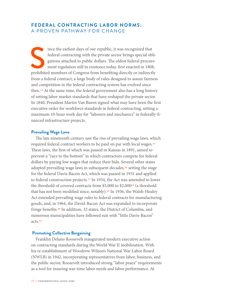# <span id="page-27-0"></span>**FEDERAL CONTRACTING LABOR NORMS:** A PROVEN PATHWAY FOR CHANGE

Since the earliest days of our republic, it was recognized that federal contracting with the private sector brings special obly gations attached to public dollars. The oldest federal procure ment regulation still in existe federal contracting with the private sector brings special obligations attached to public dollars. The oldest federal procurement regulation still in existence today, first enacted in 1808, prohibited members of Congress from benefiting directly or indirectly from a federal contract; a large body of rules designed to assure fairness and competition in the federal contracting system has evolved since then.14 At the same time, the federal government also has a long history of setting labor market standards that have reshaped the private sector. In 1840, President Martin Van Buren signed what may have been the first executive order for workforce standards in federal contracting, setting a maximum 10-hour work day for "laborers and mechanics" in federally-financed infrastructure projects.

#### **Prevailing Wage Laws**

The late nineteenth century saw the rise of prevailing wage laws, which required federal contract workers to be paid on par with local wages.15 These laws, the first of which was passed in Kansas in 1891, aimed to prevent a "race to the bottom" in which contractors compete for federal dollars by paying low wages that reduce their bids. Several other states adopted prevailing wage laws in subsequent decades,<sup>16</sup> setting the stage for the federal Davis-Bacon Act, which was passed in 1931 and applied to federal construction projects.17 In 1934, the Act was amended to lower the threshold of covered contracts from \$5,000 to \$2,00018 (a threshold that has not been modified since, notably).19 In 1936, the Walsh-Healey Act extended prevailing wage rules to federal contracts for manufacturing goods, and, in 1964, the David-Bacon Act was expanded to incorporate fringe benefits.20 In addition, 32 states, the District of Columbia, and numerous municipalities have followed suit with "little Davis-Bacon" acts.21

#### **Promoting Collective Bargaining**

Franklin Delano Roosevelt inaugurated modern executive action on contracting standards during the World War II mobilization. With his re-establishment of Woodrow Wilson's National War Labor Board (NWLB) in 1942, incorporating representatives from labor, business, and the public sector, Roosevelt introduced strong "labor peace" requirements as a tool for insuring war-time labor needs and labor performance. At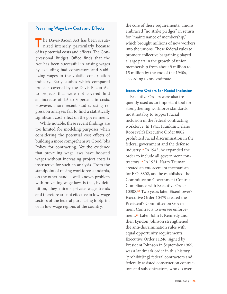#### **Prevailing Wage Law Costs and Effects**

The Davis-Bacon Act has been scruti-<br>
nized intensely, particularly because of its potential costs and effects. The Congressional Budget Office finds that the Act has been successful in raising wages by excluding bad contractors and stabilizing wages in the volatile construction industry. Early studies which compared projects covered by the Davis-Bacon Act to projects that were not covered find an increase of 1.5 to 3 percent in costs. However, more recent studies using regression analyses fail to find a statistically significant cost-effect on the government.

While notable, these recent findings are too limited for modeling purposes when considering the potential cost effects of building a more comprehensive Good Jobs Policy for contracting. Yet the evidence that prevailing wage laws have boosted wages without increasing project costs is instructive for such an analysis. From the standpoint of raising workforce standards, on the other hand, a well-known problem with prevailing wage laws is that, by definition, they mirror private wage trends and therefore are not effective in low-wage sectors of the federal purchasing footprint or in low-wage regions of the country.

the core of these requirements, unions embraced "no strike pledges" in return for "maintenance of membership," which brought millions of new workers into the unions. These federal rules to promote collective bargaining played a large part in the growth of union membership from about 9 million to 15 million by the end of the 1940s, according to one estimate.22

#### **Executive Orders for Racial Inclusion**

Executive Orders were also frequently used as an important tool for strengthening workforce standards, most notably to support racial inclusion in the federal contracting workforce. In 1941, Franklin Delano Roosevelt's Executive Order 8802 prohibited racial discrimination in the federal government and the defense industry.23 In 1943, he expanded the order to include all government contractors.24 In 1951, Harry Truman created an enforcement mechanism for E.O. 8802, and he established the Committee on Government Contract Compliance with Executive Order 10308.25 Two years later, Eisenhower's Executive Order 10479 created the President's Committee on Government Contracts to oversee enforcement.26 Later, John F. Kennedy and then Lyndon Johnson strengthened the anti-discrimination rules with equal opportunity requirements. Executive Order 11246, signed by President Johnson in September 1965, was a landmark order in this history, "prohibit[ing] federal contractors and federally assisted construction contractors and subcontractors, who do over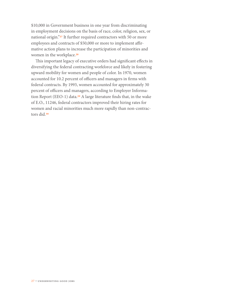\$10,000 in Government business in one year from discriminating in employment decisions on the basis of race, color, religion, sex, or national origin."27 It further required contractors with 50 or more employees and contracts of \$50,000 or more to implement affirmative action plans to increase the participation of minorities and women in the workplace.<sup>28</sup>

This important legacy of executive orders had significant effects in diversifying the federal contracting workforce and likely in fostering upward mobility for women and people of color. In 1970, women accounted for 10.2 percent of officers and managers in firms with federal contracts. By 1993, women accounted for approximately 30 percent of officers and managers, according to Employer Information Report (EEO-1) data.29 A large literature finds that, in the wake of E.O., 11246, federal contractors improved their hiring rates for women and racial minorities much more rapidly than non-contractors did.30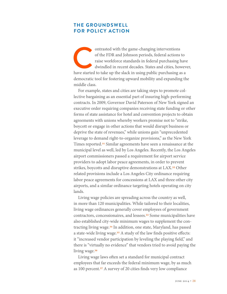# <span id="page-30-0"></span>**THE GROUNDSWELL FOR POLICY ACTION**

ontrasted with the game-changing interventions of the FDR and Johnson periods, federal actions to raise workforce standards in federal purchasing have dwindled in recent decades. States and cities, however have started to of the FDR and Johnson periods, federal actions to raise workforce standards in federal purchasing have dwindled in recent decades. States and cities, however, democratic tool for fostering upward mobility and expanding the middle class.

For example, states and cities are taking steps to promote collective bargaining as an essential part of insuring high-performing contracts. In 2009, Governor David Paterson of New York signed an executive order requiring companies receiving state funding or other forms of state assistance for hotel and convention projects to obtain agreements with unions whereby workers promise not to "strike, boycott or engage in other actions that would disrupt business or deprive the state of revenues," while unions gain "unprecedented leverage to demand right-to-organize provisions," as the New York Times reported.31 Similar agreements have seen a renaissance at the municipal level as well, led by Los Angeles. Recently, the Los Angeles airport commissioners passed a requirement for airport service providers to adopt labor peace agreements, in order to prevent strikes, boycotts and disruptive demonstrations at LAX.<sup>32</sup> Other related provisions include a Los Angeles City ordinance requiring labor peace agreements for concessions at LAX and three other city airports, and a similar ordinance targeting hotels operating on city lands.

Living wage policies are spreading across the country as well, in more than 120 municipalities. While tailored to their localities, living wage ordinances generally cover employees of government contractors, concessionaires, and lessees.33 Some municipalities have also established city-wide minimum wages to supplement the contracting living wage.34 In addition, one state, Maryland, has passed a state-wide living wage.<sup>35</sup> A study of the law finds positive effects: it "increased vendor participation by leveling the playing field," and there is "virtually no evidence" that vendors tried to avoid paying the living wage.<sup>36</sup>

Living wage laws often set a standard for municipal contract employees that far exceeds the federal minimum wage, by as much as 100 percent.37 A survey of 20 cities finds very low compliance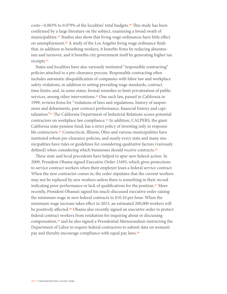costs—0.003% to 0.079% of the localities' total budgets.38 This study has been confirmed by a large literature on the subject, examining a broad swath of municipalities.39 Studies also show that living wage ordinances have little effect on unemployment.40 A study of the Los Angeles living wage ordinance finds that, in addition to benefiting workers, it benefits firms by reducing absenteeism and turnover, and it benefits city government itself by generating higher tax receipts.41

States and localities have also variously instituted "responsible contracting" policies attached to a pre-clearance process. Responsible contracting often includes automatic disqualification of companies with labor law and workplace safety violations, in addition to setting prevailing wage standards, contract time limits, and, in some states, formal remedies to limit privatization of public services, among other interventions.<sup>42</sup> One such law, passed in California in 1999, reviews firms for "violations of laws and regulations, history of suspensions and debarments, past contract performance, financial history and capitalization."43 The California Department of Industrial Relations scores potential contractors on workplace law compliance.44 In addition, CALPERS, the giant California state pension fund, has a strict policy of investing only in responsible contractors.<sup>45</sup> Connecticut, Illinois, Ohio and various municipalities have instituted robust pre-clearance policies, and nearly every state and many municipalities have rules or guidelines for considering qualitative factors (variously defined) when considering which businesses should receive contracts.<sup>46</sup>

These state and local precedents have helped to spur new federal action. In 2009, President Obama signed Executive Order 13495, which gives protections to service contract workers when their employer loses a federal service contract. When the new contractor comes in, the order stipulates that the current workers may not be replaced by new workers unless there is something in their record indicating poor performance or lack of qualifications for the position.<sup>47</sup> More recently, President Obama's signed his much-discussed executive order raising the minimum wage in new federal contracts to \$10.10 per hour. When the minimum wage increase takes effect in 2015, an estimated 200,000 workers will be positively affected.48 Obama also recently signed an executive order to protect federal contract workers from retaliation for inquiring about or discussing compensation,49 and he also signed a Presidential Memorandum instructing the Department of Labor to require federal contractors to submit data on women's pay and thereby encourage compliance with equal pay laws.<sup>50</sup>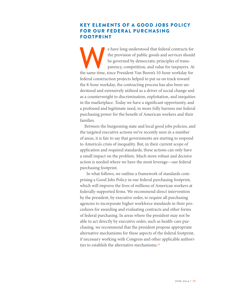# <span id="page-32-0"></span>KEY ELEMENTS OF A GOOD JOBS POLICY FOR OUR FEDERAL PURCHASING FOOTPRINT

e have long understood that federal contracts for the provision of public goods and services should be governed by democratic principles of transparency, competition, and value for taxpayers. At the same time, since Presid the provision of public goods and services should be governed by democratic principles of transparency, competition, and value for taxpayers. At federal construction projects helped to put us on track toward the 8-hour workday, the contracting process has also been understood and extensively utilized as a driver of social change and as a counterweight to discrimination, exploitation, and inequities in the marketplace. Today we have a significant opportunity, and a profound and legitimate need, to more fully harness our federal purchasing power for the benefit of American workers and their families.

Between the burgeoning state and local good jobs policies, and the targeted executive actions we've recently seen in a number of areas, it is fair to say that governments are starting to respond to America's crisis of inequality. But, in their current scope of application and required standards, these actions can only have a small impact on the problem. Much more robust and decisive action is needed where we have the most leverage—our federal purchasing footprint.

 In what follows, we outline a framework of standards comprising a Good Jobs Policy in our federal purchasing footprint, which will improve the lives of millions of American workers at federally-supported firms. We recommend direct intervention by the president, by executive order, to require all purchasing agencies to incorporate higher workforce standards in their procedures for awarding and evaluating contracts and other forms of federal purchasing. In areas where the president may not be able to act directly by executive order, such as health-care purchasing, we recommend that the president propose appropriate alternative mechanisms for these aspects of the federal footprint, if necessary working with Congress and other applicable authorities to establish the alternative mechanisms.<sup>51</sup>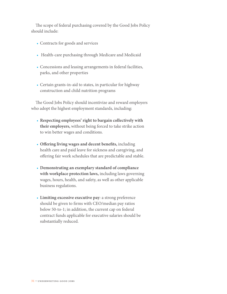The scope of federal purchasing covered by the Good Jobs Policy should include:

- Contracts for goods and services
- Health-care purchasing through Medicare and Medicaid
- Concessions and leasing arrangements in federal facilities, parks, and other properties
- Certain grants-in-aid to states, in particular for highway construction and child nutrition programs

The Good Jobs Policy should incentivize and reward employers who adopt the highest employment standards, including:

- **Respecting employees' right to bargain collectively with their employers,** without being forced to take strike action to win better wages and conditions.
- **Offering living wages and decent benefits,** including health care and paid leave for sickness and caregiving, and offering fair work schedules that are predictable and stable.
- **Demonstrating an exemplary standard of compliance with workplace protection laws,** including laws governing wages, hours, health, and safety, as well as other applicable business regulations.
- **Limiting excessive executive pay***:* a strong preference should be given to firms with CEO/median pay ratios below 50-to-1; in addition, the current cap on federal contract funds applicable for executive salaries should be substantially reduced.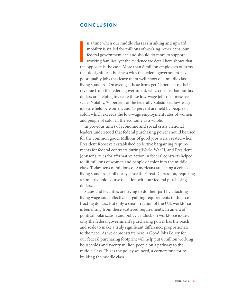# <span id="page-34-0"></span>CONCLUSION

I am the n a time when our middle class is shrinking and upward mobility is stalled for millions of working Americans, our federal government can and should do more to support working families, yet the evidence we detail here shows that the opposite is the case. More than 8 million employees of firms that do significant business with the federal government have poor quality jobs that leave them well-short of a middle class living standard. On average, these firms get 29 percent of their revenue from the federal government, which means that our tax dollars are helping to create these low-wage jobs on a massive scale. Notably, 70 percent of the federally-subsidized low-wage jobs are held by women, and 45 percent are held by people of color, which exceeds the low-wage employment rates of women and people of color in the economy as a whole.

In previous times of economic and social crisis, national leaders understood that federal purchasing power should be used for the common good. Millions of good jobs were created when President Roosevelt established collective bargaining requirements for federal contracts during World War II, and President Johnson's rules for affirmative action in federal contracts helped to lift millions of women and people of color into the middle class. Today, tens of millions of Americans are facing a crisis of living standards unlike any since the Great Depression, requiring a similarly bold course of action with our federal purchasing dollars.

States and localities are trying to do their part by attaching living wage and collective bargaining requirements to their contracting dollars. But only a small fraction of the U.S. workforce is benefiting from these scattered requirements. In an era of political polarization and policy gridlock on workforce issues, only the federal government's purchasing power has the reach and scale to make a truly significant difference, proportionate to the need. As we demonstrate here, a Good Jobs Policy for our federal purchasing footprint will help put 8 million working households and twenty million people on a pathway to the middle class. This is the policy we need, a cornerstone for rebuilding the middle class.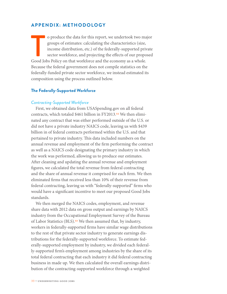# <span id="page-35-0"></span>**APPENDIX: METHODOLOGY**

Observe the data for this report, we undertook two magroups of estimates: calculating the characteristics (size, income distribution, etc.) of the federally-supported prives sector workforce, and projecting the effects of o produce the data for this report, we undertook two major groups of estimates: calculating the characteristics (size, income distribution, etc.) of the federally-supported private sector workforce, and projecting the effects of our proposed Because the federal government does not compile statistics on the federally-funded private sector workforce, we instead estimated its composition using the process outlined below.

#### **The Federally-Supported Workforce**

#### *Contracting-Supported Workforce*

First, we obtained data from USASpending.gov on all federal contracts, which totaled \$461 billion in FY2013.52 We then eliminated any contract that was either performed outside of the U.S. or did not have a private industry NAICS code, leaving us with \$439 billion in of federal contracts performed within the U.S. and that pertained to private industry. This data included numbers on the annual revenue and employment of the firm performing the contract as well as a NAICS code designating the primary industry in which the work was performed, allowing us to produce our estimates. After cleaning and updating the annual revenue and employment figures, we calculated the total revenue from federal contracting and the share of annual revenue it comprised for each firm. We then eliminated firms that received less than 10% of their revenue from federal contracting, leaving us with "federally-supported" firms who would have a significant incentive to meet our proposed Good Jobs standards.

We then merged the NAICS codes, employment, and revenue share data with 2012 data on gross output and earnings by NAICS industry from the Occupational Employment Survey of the Bureau of Labor Statistics (BLS).<sup>53</sup> We then assumed that, by industry, workers in federally-supported firms have similar wage distributions to the rest of that private sector industry to generate earnings distributions for the federally-supported workforce. To estimate federally-supported employment by industry, we divided each federally-supported firm's employment among industries by the share of its total federal contracting that each industry it did federal contracting business in made up. We then calculated the overall earnings distribution of the contracting-supported workforce through a weighted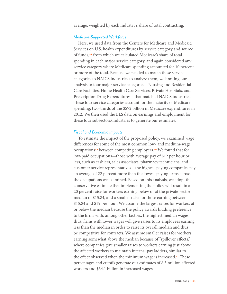average, weighted by each industry's share of total contracting.

#### *Medicare-Supported Workforce*

Here, we used data from the Centers for Medicare and Medicaid Services on U.S. health expenditures by service category and source of funds,54 from which we calculated Medicare's share of total spending in each major service category, and again considered any service category where Medicare spending accounted for 10 percent or more of the total. Because we needed to match these service categories to NAICS industries to analyze them, we limiting our analysis to four major service categories—Nursing and Residential Care Facilities, Home Health Care Services, Private Hospitals, and Prescription Drug Expenditures—that matched NAICS industries. These four service categories account for the majority of Medicare spending: two-thirds of the \$572 billion in Medicare expenditures in 2012. We then used the BLS data on earnings and employment for these four subsectors/industries to generate our estimates.

#### *Fiscal and Economic Impacts*

To estimate the impact of the proposed policy, we examined wage differences for some of the most common low- and medium-wage occupations<sup>55</sup> between competing employers.<sup>56</sup> We found that for low-paid occupations—those with average pay of \$12 per hour or less, such as cashiers, sales associates, pharmacy technicians, and customer service representatives—the highest-paying companies pay an average of 22 percent more than the lowest-paying firms across the occupations we examined. Based on this analysis, we adopt the conservative estimate that implementing the policy will result in a 20 percent raise for workers earning below or at the private-sector median of \$15.84, and a smaller raise for those earning between \$15.84 and \$19 per hour. We assume the largest raises for workers at or below the median because the policy awards bidding preference to the firms with, among other factors, the highest median wages; thus, firms with lower wages will give raises to its employees earning less than the median in order to raise its overall median and thus be competitive for contracts. We assume smaller raises for workers earning somewhat above the median because of "spillover effects," where companies give smaller raises to workers earning just above the affected workers to maintain internal pay ladders, similar to the effect observed when the minimum wage is increased.<sup>57</sup> These percentages and cutoffs generate our estimates of 8.3 million affected workers and \$34.1 billion in increased wages.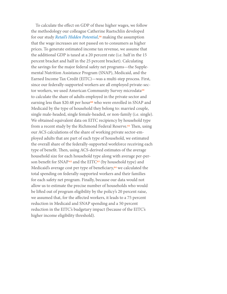To calculate the effect on GDP of these higher wages, we follow the methodology our colleague Catherine Ruetschlin developed for our study *[Retail's Hidden Potential](http://www.demos.org/sites/default/files/publications/RetailsHiddenPotential.pdf)*,58 making the assumption that the wage increases are not passed on to consumers as higher prices. To generate estimated income tax revenue, we assume that the additional GDP is taxed at a 20 percent rate (i.e. half in the 15 percent bracket and half in the 25 percent bracket). Calculating the savings for the major federal safety net programs—the Supplemental Nutrition Assistance Program (SNAP), Medicaid, and the Earned Income Tax Credit (EITC)—was a multi-step process. First, since our federally-supported workers are all employed private-sector workers, we used American Community Survey microdata<sup>59</sup> to calculate the share of adults employed in the private sector and earning less than \$20.48 per hour<sup>60</sup> who were enrolled in SNAP and Medicaid by the type of household they belong to: married couple, single male-headed, single female-headed, or non-family (i.e. single). We obtained equivalent data on EITC recipiency by household type from a recent study by the Richmond Federal Reserve.<sup>61</sup> Then, using our ACS calculations of the share of working private sector-employed adults that are part of each type of household, we estimated the overall share of the federally-supported workforce receiving each type of benefit. Then, using ACS-derived estimates of the average household size for each household type along with average per-person benefit for SNAP<sup>62</sup> and the EITC<sup>63</sup> (by household type) and Medicaid's average cost per type of beneficiary,<sup>64</sup> we calculated the total spending on federally-supported workers and their families for each safety net program. Finally, because our data would not allow us to estimate the precise number of households who would be lifted out of program eligibility by the policy's 20 percent raise, we assumed that, for the affected workers, it leads to a 75 percent reduction in Medicaid and SNAP spending and a 50 percent reduction in the EITC's budgetary impact (because of the EITC's higher income eligibility threshold).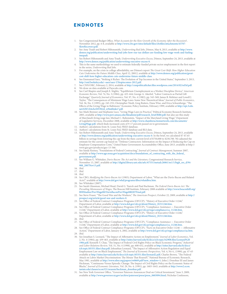# ENDNOTES

- 1. See Congressional Budget Office, *What Accounts for the Slow Growth of the Economy After the Recession?*, November 2012, pp. 6-8, available at [http://www.cbo.gov/sites/default/files/cbofiles/attachments/43707-](http://www.cbo.gov/sites/default/files/cbofiles/attachments/43707-slowrecovery.pdf) [SlowRecovery.pdf.](http://www.cbo.gov/sites/default/files/cbofiles/attachments/43707-slowrecovery.pdf)
- 2. See Amy Traub and Robert Hiltonsmith, *Underwriting Bad Jobs*, Dēmos, May 8, 2013, available at [http://www.](http://www.demos.org/publication/underwriting-bad-jobs-how-our-tax-dollars-are-funding-low-wage-work-and-fueling-inequali) [demos.org/publication/underwriting-bad-jobs-how-our-tax-dollars-are-funding-low-wage-work-and-fueling](http://www.demos.org/publication/underwriting-bad-jobs-how-our-tax-dollars-are-funding-low-wage-work-and-fueling-inequali)[inequali](http://www.demos.org/publication/underwriting-bad-jobs-how-our-tax-dollars-are-funding-low-wage-work-and-fueling-inequali).
- 3. See Robert Hiltonsmith and Amy Traub, *Underwriting Executive Excess*, Dēmos, September 24, 2013, available at <http://www.demos.org/publication/underwriting-executive-excess-0>.
- 4. This is the same methodology we used to estimate federally-funded private sector employment in the first report in the series, *Underwriting Bad Jobs*.
- 5. For example, on the crisis in college affordability, see Dēmos's report *The Great Cost-Shift: How Higher Education Cuts Undermine the Future Middle Class*, April 12, 20012, available at [http://www.demos.org/publication/great](http://www.demos.org/publication/great-cost-shift-how-higher-education-cuts-undermine-future-middle-class)[cost-shift-how-higher-education-cuts-undermine-future-middle-class](http://www.demos.org/publication/great-cost-shift-how-higher-education-cuts-undermine-future-middle-class).
- 6. See Emmanuel Saez, "Striking it Richer: The Evolution of Top Incomes in the United States," September 3, 2013, [http://eml.berkeley.edu/~saez/saez-UStopincomes-2012.pdf.](http://eml.berkeley.edu/~saez/saez-ustopincomes-2012.pdf)
- 7. See CNN/ORC, February 2, 2014, available at <http://cnnpoliticalticker.files.wordpress.com/2014/02/rel3d.pdf>. We draw on data available at Payscale.com.
- 9. See Carl Shapiro and Joseph E. Stiglitz, "Equilibrium Unemployment as a Worker Discipline Device," *American Economic Review*, Vol. 74, No. 3.(1984), pp. 433-444; George A. Akerlof, "Labor Contracts as Partial Gift Exchange," *Quarterly Journal of Economics*, Vol. 97, No. 4 (1982), pp. 543-569; James B. Rebitzer and Lowell J. Taylor, "The Consequences of Minimum Wage Laws: Some New Theoretical Ideas," *Journal of Public Economics*, Vol. 56, No. 2 (1995), pp. 245-255; Christopher Niedt, Greg Ruiters, Dana Wise, and Erica Schoenberge, "The Effects of the Living Wage in Baltimore," Economic Policy Institute, February 1999, available at [http://epi.3cdn.](http://epi.3cdn.net/63b7cb4cbcf2f33b2d_w9m6bnks7.pdf) [net/63b7cb4cbcf2f33b2d\\_w9m6bnks7.pdf](http://epi.3cdn.net/63b7cb4cbcf2f33b2d_w9m6bnks7.pdf).
- 10. See Mark Brenner and Stephanie Luce, "Living Wage Laws in Practice," Political Economy Research Institute, 2005, available at [http://www.peri.umass.edu/fileadmin/pdf/research\\_brief/RR8.pdf;](http://www.peri.umass.edu/fileadmin/pdf/research_brief/rr8.pdf) but also see this study of Maryland's living wage law, Michael C. Rubenstein, "Impact of the Maryland Living Wage," Deparment of Legislative Services, December 2008, available at [http://www.chamberactionnetwork.com/documents/](http://www.chamberactionnetwork.com/documents/livingwage.pdf) [LivingWage.pdf,](http://www.chamberactionnetwork.com/documents/livingwage.pdf) which finds increased costs of 9-17 percent passed on to government.
- 11. Authors' calculations from St. Louis Fed, FRED database.
- 12. Authors' calculations from St. Louis Fed, FRED database and BLS data.
- 13. See Robert Hiltonsmith and Amy Traub, *Underwriting Executive Excess*, Dēmos, September 24, 2013, available at [http://www.demos.org/publication/underwriting-executive-excess-0.](http://www.demos.org/publication/underwriting-executive-excess-0) In the brief, we calculated \$7-\$7.65 billion in savings from lowering the cap from the then-current level of \$750,000 to \$230,700. We adjusted the estimate for the current cap based on "'Defense Contractors: Information on the Impact of Reducing the Cap on Employee Compensation Costs," United States Government Accountability Office, June 2013, available at http:// www.gao.gov/products/gao-13-566.
- 14. See Sandy Keeney, "Foundations of Federal Contracting," *Journal of Contract Management*, Summer 2007, available at [http://www.ago.noaa.gov/acquisition/docs/foundations\\_of\\_contracting\\_with\\_the\\_federal\\_](http://www.ago.noaa.gov/acquisition/docs/foundations_of_contracting_with_the_federal_government.pdf) [government.pdf.](http://www.ago.noaa.gov/acquisition/docs/foundations_of_contracting_with_the_federal_government.pdf)
- 15. See William G. Whittaker, *Davis-Bacon: The Act and the Literature*, Congressional Research Service, November 13, 2007, available at [http://digital.library.unt.edu/ark:/67531/metadc26061/m1/1/high\\_res\\_d/94-](http://digital.library.unt.edu/ark:/67531/metadc26061/m1/1/high_res_d/94-908_2007nov13.pdf) [908\\_2007Nov13.pdf](http://digital.library.unt.edu/ark:/67531/metadc26061/m1/1/high_res_d/94-908_2007nov13.pdf).
- 16. *Ibid.*
- 17. *Ibid.*
- 18. *Ibid.*
- 19. See CBO, *Modifying the Davis-Bacon Act* (1983); Department of Labor, "What are the Davis-Bacon and Related Acts?," available at [http://www.dol.gov/whd/programs/dbra/whatdbra.htm.](http://www.dol.gov/whd/programs/dbra/whatdbra.htm)
- 20. See Whittaker (2007).
- 21. See Sarah Glassman, Michael Head, David G. Tuerck and Paul Bachman, *The Federal Davis-Bacon Act: The Prevailing Mismeasure of Wages*, The Beacon Hill Institute, February 2008 available at [http://www.beaconhill.org/](http://www.beaconhill.org/bhistudies/prevwage08/davisbaconprevwage080207final.pdf) [BHIStudies/PrevWage08/DavisBaconPrevWage080207Final.pdf.](http://www.beaconhill.org/bhistudies/prevwage08/davisbaconprevwage080207final.pdf)
- 22. See Steve Fraser, "The Good War and the Workers," *The American Prospect*, October 22, 2009, available at [http://](http://prospect.org/article/good-war-and-workers-0) [prospect.org/article/good-war-and-workers-0](http://prospect.org/article/good-war-and-workers-0).
- 23. See Office of Federal Contract Compliance Programs (OFCCP), "History of Executive Order 11246," Department of Labor, available at [http://www.dol.gov/ofccp/about/History\\_EO11246.htm.](http://www.dol.gov/ofccp/about/history_eo11246.htm)
- 24. See Office of Federal Contract Compliance Programs (OFCCP), "Compliance Assistance Executive Order 11246," Department of Labor, available at [http://www.dol.gov/ofccp/regs/compliance/ca\\_11246.htm](http://www.dol.gov/ofccp/regs/compliance/ca_11246.htm).
- 25. See Office of Federal Contract Compliance Programs (OFCCP), "History of Executive Order 11246,"
- Department of Labor, available at [http://www.dol.gov/ofccp/about/History\\_EO11246.htm.](http://www.dol.gov/ofccp/about/history_eo11246.htm) 26. *Ibid.*
- 27. See Office of Federal Contract Compliance Programs (OFCCP), "Compliance Assistance Executive Order 11246," Department of Labor, available at [http://www.dol.gov/ofccp/regs/compliance/ca\\_11246.htm](http://www.dol.gov/ofccp/regs/compliance/ca_11246.htm).
- 28. See Office of Federal Contract Compliance Programs (OFCCP), "Facts on Executive Order 11246 Affirmative Action," Department of Labor, January 4, 2002, available at [http://www.dol.gov/ofccp/regs/compliance/aa.htm.](http://www.dol.gov/ofccp/regs/compliance/aa.htm) 29. *Ibid.*
- 30. See Jonathan S. Leonard, "The Impact of Affirmative Action on Employment," *Journal of Labor Economics*, Vol. 2, No. 4 (1984), pp. 439-463, available at [http://isites.harvard.edu/fs/docs/icb.topic542908.files/Leonard%20](http://isites.harvard.edu/fs/docs/icb.topic542908.files/leonard%25201984.pdf) [1984.pdf](http://isites.harvard.edu/fs/docs/icb.topic542908.files/leonard%25201984.pdf); Kenneth Y. Chay, "The Impact of Federal Civil Rights Policy on Black Economic Progress," *Industrial and Labor Relations Review*, Vol. 51, No. 4 (1998), pp. 608-632, available at [http://isites.harvard.edu/fs/docs/](http://isites.harvard.edu/fs/docs/icb.topic185351.files/chay.pdf) [icb.topic185351.files/chay.pdf](http://isites.harvard.edu/fs/docs/icb.topic185351.files/chay.pdf); Johnathan Leonard, "The Impact of Affirmative Action Regulation and Equal Employment Law on Black Employment," *The Journal of Economic Perspectives,* Vol. 4, No 4., (1990), pp. 47-63 available at<http://isites.harvard.edu/fs/docs/icb.topic185351.files/leonard2.pdf>; Charles Brown, "The Federal Attack on Labor Market Discrimination: The Mouse That Roared?," National Bureau of Economic Research, May 1981, available at [http://www.nber.org/papers/w0669.pdf?new\\_window=1;](http://www.nber.org/papers/w0669.pdf?new_window=1) John J. Donohue III and James Heckman, "Continuous Versus Episodic Change: The Impact of Civil Rights Policy on the Economic Status of Blacks," *Journal of Economic Literature*, Vol. 29, No. 4, (1991), pp. 1603-1643, available at [http://www2.econ.](http://www2.econ.iastate.edu/classes/econ321/orazem/heckman_donohue.pdf) [iastate.edu/classes/econ321/orazem/heckman\\_donohue.pdf](http://www2.econ.iastate.edu/classes/econ321/orazem/heckman_donohue.pdf).
- 31. See New York Governor Office, "Governor Paterson Announces Deal on Critical Investment," June 3, 2009, available at [http://www.governor.ny.gov/archive/paterson/press/press\\_0603094.html;](http://www.governor.ny.gov/archive/paterson/press/press_0603094.html) Nicholas Confessore,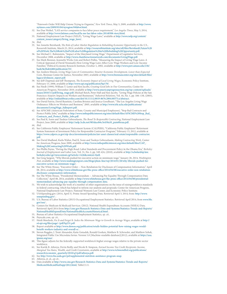"Paterson's Order Will Help Unions Trying to Organize," *New York Times*, May 3, 2009, available at [http://www.](http://www.nytimes.com/2009/05/04/nyregion/04labor.html) [nytimes.com/2009/05/04/nyregion/04labor.html.](http://www.nytimes.com/2009/05/04/nyregion/04labor.html)

- 32. See Dan Weikel, "LAX service companies to face labor peace requirement," *Los Angeles Times*, May 5, 2014, available at<http://www.latimes.com/local/la-me-lax-labor-rules-20140506-story.html>.
- 33. National Employment Law Project (NELP), "Living Wage Laws," available at [http://www.nelp.org/content/](http://www.nelp.org/content/content_issues/category/living_wage_laws/) [content\\_issues/category/living\\_wage\\_laws/](http://www.nelp.org/content/content_issues/category/living_wage_laws/).

34. *Ibid.*

- 35. See Annette Bernhardt, *The Role of Labor Market Regulation in Rebuilding Economic Opportunity in the U.S.*, Roosevelt Institute*,* March 25, 2014, available at [http://rooseveltinstitute.org/sites/all/files/Bernhardt.Future%20](http://rooseveltinstitute.org/sites/all/files/bernhardt.future%2520of%2520work.the%2520role%2520of%2520labor%2520regulation%2520in%2520rebuilding%2520opportunity.pdf) [of%20Work.The%20Role%20of%20Labor%20Regulation%20in%20Rebuilding%20Opportunity.pdf](http://rooseveltinstitute.org/sites/all/files/bernhardt.future%2520of%2520work.the%2520role%2520of%2520labor%2520regulation%2520in%2520rebuilding%2520opportunity.pdf).
- 36. See Michael C. Rubenstein, "Impact of the Maryland Living Wage," Department of Legislative Services, December 2008, available at [http://www.chamberactionnetwork.com/documents/LivingWage.pdf.](http://www.chamberactionnetwork.com/documents/livingwage.pdf)
- 37. See Mark Brenner, Jeannette Wicks-Lim and Robert Pollin, "Measuring the Impact of Living Wage Laws: A Critical Appraisal of David Neumark's How Living Wage Laws Affect Low-Wage Workers and Low-Income Families," Political Economy Research Institute, October 1, 2002, available at [http://www.peri.umass.edu/236/](http://www.peri.umass.edu/236/hash/8e2bab4488/publication/55/) [hash/8e2bab4488/publication/55/](http://www.peri.umass.edu/236/hash/8e2bab4488/publication/55/).
- 38. See Andrew Elmore, *Living Wage Laws & Communities: Smarter Economic Development, Lower than Expected Costs*, Brennan Center for Justice, November 2003, available at [http://www.brennancenter.org/sites/default/files/](http://www.brennancenter.org/sites/default/files/legacy/d/elmore_report.pdf) [legacy/d/elmore\\_report.pdf](http://www.brennancenter.org/sites/default/files/legacy/d/elmore_report.pdf).
- 39. See Jeff Chapman and Jeff Thompson, *The Economic Impact of Local Living Wages*, Economic Policy Institute, February 15, 2006, available at <http://www.epi.org/publication/bp170/>.
- 40. See Niedt (1999); William T. Lester and Ken Jacobs, *Creating Good Jobs in Our Communities*, Center for American Progress, November 2010, available at [http://www.americanprogressaction.org/wp-content/uploads/](http://www.americanprogressaction.org/wp-content/uploads/issues/2010/11/pdf/living_wage.pdf) [issues/2010/11/pdf/living\\_wage.pdf](http://www.americanprogressaction.org/wp-content/uploads/issues/2010/11/pdf/living_wage.pdf); Michael Reich, Peter Hall and Ken Jacobs, "Living Wage Policies at the San Francisco Airport: Impacts on Workers and Businesses," *Industrial Relations*, Vol. 44, No. 1, pp. 106–138, (2005), available at [http://onlinelibrary.wiley.com/doi/10.1111/j.0019-8676.2004.00375.x/abstract.](http://onlinelibrary.wiley.com/doi/10.1111/j.0019-8676.2004.00375.x/abstract)
- 41. See David Fairris, David Runstein, Carolina Briones and Jessica Goodheart, "The Los Angeles Living Wage Ordinance: Effects on Workers and Business," 2005, available at [http://www.irle.ucla.edu/publications/](http://www.irle.ucla.edu/publications/documents/livingwage_fullreport.pdf) [documents/LivingWage\\_fullreport.pdf](http://www.irle.ucla.edu/publications/documents/livingwage_fullreport.pdf).
- 42. See AFSCME (American Federation of State, County and Municipal Employees), "Stop Bad Contracts and Protect Public Jobs," available at [http://www.inthepublicinterest.org/sites/default/files/AFSCME%20Stop\\_Bad\\_](http://www.inthepublicinterest.org/sites/default/files/afscme%2520stop_bad_contracts_and_protect_public_jobs.pdf) [Contracts\\_and\\_Protect\\_Public\\_Jobs.pdf.](http://www.inthepublicinterest.org/sites/default/files/afscme%2520stop_bad_contracts_and_protect_public_jobs.pdf)
- 43. See Paul K. Sonn and Tsedeye Gebreselassie, *The Road To Responsible Contracting*, National Employment Law Project, June 2009, available at [http://nelp.3cdn.net/985daceb6c3e450a10\\_pzm6brsaa.pdf.](http://nelp.3cdn.net/985daceb6c3e450a10_pzm6brsaa.pdf)
- 44. *Ibid.*
- 45. See California Public Employees' Retirement System (CALPERS), "California Public Employees' Retirement System Statement of Investment Policy for Responsible Contractor Program," February 13, 2012, available at [https://www.calpers.ca.gov/eip-docs/investments/policies/inv-asset-classes/real-estate/responsible-contractor.](https://www.calpers.ca.gov/eip-docs/investments/policies/inv-asset-classes/real-estate/responsible-contractor.pdf) [pdf](https://www.calpers.ca.gov/eip-docs/investments/policies/inv-asset-classes/real-estate/responsible-contractor.pdf).
- 46. See David Madland, Karla Walter, Paul K. Sonn and Tsedeye Gebreselassie, *Making Contracting Work*, Center for American Progress, June 2009, available at [http://www.inthepublicinterest.org/sites/default/files/CAP\\_](http://www.inthepublicinterest.org/sites/default/files/cap_making%2520contracting%2520work.pdf) [Making%20Contracting%20Work.pdf](http://www.inthepublicinterest.org/sites/default/files/cap_making%2520contracting%2520work.pdf).
- 47. See Phillis Payne, "Paving the High Road: Labor Standards and Procurement Policy in the Obama Era," *Berkeley Journal of Employment and Labor Law*, Vol. 31, No. 2, pp. 349-424, (2010), available at [http://scholarship.law.](http://scholarship.law.berkeley.edu/cgi/viewcontent.cgi?article=1426&context=bjell) [berkeley.edu/cgi/viewcontent.cgi?article=1426&context=bjell](http://scholarship.law.berkeley.edu/cgi/viewcontent.cgi?article=1426&context=bjell).
- 48. See Greg Sargent, "Why liberals pushed for executive action on minimum wage," January 28, 2014, *Washington Post*, available at [http://www.washingtonpost.com/blogs/plum-line/wp/2014/01/28/why-liberals-pushed-for](http://www.washingtonpost.com/blogs/plum-line/wp/2014/01/28/why-liberals-pushed-for-executive-action-on-minimum-wage/)[executive-action-on-minimum-wage/](http://www.washingtonpost.com/blogs/plum-line/wp/2014/01/28/why-liberals-pushed-for-executive-action-on-minimum-wage/).
- 49. See The White House, "Executive Order -- Non-Retaliation for Disclosure of Compensation Information," April 08, 2014, available at [http://www.whitehouse.gov/the-press-office/2014/04/08/executive-order-non-retaliation](http://www.whitehouse.gov/the-press-office/2014/04/08/executive-order-non-retaliation-disclosure-compensation-information)[disclosure-compensation-information](http://www.whitehouse.gov/the-press-office/2014/04/08/executive-order-non-retaliation-disclosure-compensation-information).
- 50. See The White House, "Presidential Memorandum -- Advancing Pay Equality Through Compensation Data Collection," April 08, 2014, available at [http://www.whitehouse.gov/the-press-office/2014/04/08/presidential](http://www.whitehouse.gov/the-press-office/2014/04/08/presidential-memorandum-advancing-pay-equality-through-compensation-data)[memorandum-advancing-pay-equality-through-compensation-data](http://www.whitehouse.gov/the-press-office/2014/04/08/presidential-memorandum-advancing-pay-equality-through-compensation-data).
- 51. We wish to acknowledge the work of a number of other organizations on the issue of raisingworkforce standards in federal contracting, which has helped to inform our analysis and proposals: Center for American Progress, National Employment Law Project, National Women's Law Center, and Economic Policy Institute.
- 52. USASpending.gov. (2014, April 3). Prime Award Spending Data. Retrieved April 3, 2014, from: [http://www.](http://www.usaspending.gov/) [usaspending.gov/](http://www.usaspending.gov/) .
- 53. U.S. Bureau of Labor Statistics (2013) Occupational Employment Statistics. Retrieved April 2014, from [www.bls.](http://www.bls.gov/oes/) [gov/oes/](http://www.bls.gov/oes/) .
- 54. Centers for Medicare & Medicaid Services. (2012). National Health Expenditure Accounts (NHEA) Data. Retrieved April 2014 from [http://cms.gov/Research-Statistics-Data-and-Systems/Statistics-Trends-and-Reports/](http://cms.gov/research-statistics-data-and-systems/statistics-trends-and-reports/nationalhealthexpenddata/nationalhealthaccountshistorical.html) [NationalHealthExpendData/NationalHealthAccountsHistorical.html](http://cms.gov/research-statistics-data-and-systems/statistics-trends-and-reports/nationalhealthexpenddata/nationalhealthaccountshistorical.html) .
- 55. Bureau of Labor Statistics Occupational Employment Statistics, *op. cit..*
- 56. Payscale.com, *op. cit..*
- 57. Heidi Shierholz, *Fix It and Forget It: Index the Minimum Wage to Growth in Average Wages*, available at [http://](http://s4.epi.org/files/page/-/pdf/bp251.pdf) [s4.epi.org/files/page/-/pdf/bp251.pdf.](http://s4.epi.org/files/page/-/pdf/bp251.pdf)
- 58. Report available at [http://www.demos.org/publication/retails-hidden-potential-how-raising-wages-would](http://www.demos.org/publication/retails-hidden-potential-how-raising-wages-would-benefit-workers-industry-and-overall-ec)[benefit-workers-industry-and-overall-ec](http://www.demos.org/publication/retails-hidden-potential-how-raising-wages-would-benefit-workers-industry-and-overall-ec) .
- 59. Steven Ruggles, J. Trent Alexander, Katie Genadek, Ronald Goeken, Matthew B. Schroeder, and Matthew Sobek, Integrated Public Use Microdata Series: Version 5.0 [Machine-readable database](2012), available at [https://usa.](https://usa.ipums.org/usa/) [ipums.org/usa/](https://usa.ipums.org/usa/).
- 60. This figure adjusts for the federally-supported workforce's higher average wages relative to the private-sector workforce.
- 61. See Kartik B. Athreya, Devin Reilly, and Nicole B. Simpson*, Earned Income Tax Credit Recipients: Income, Marginal Tax Rates, Wealth, and Credit Constraints*, available at [http://www.richmondfed.org/publications/](http://www.richmondfed.org/publications/research/economic_quarterly/2010/q3/pdf/athreya.pdf) [research/economic\\_quarterly/2010/q3/pdf/athreya.pdf.](http://www.richmondfed.org/publications/research/economic_quarterly/2010/q3/pdf/athreya.pdf)
- 62. See <http://www.fns.usda.gov/pd/supplemental-nutrition-assistance-program-snap>.
- 63. Athreya, et. al., *op cit..*
- 64. Data available at [http://www.cms.gov/Research-Statistics-Data-and-Systems/Statistics-Trends-and-Reports/](http://www.cms.gov/research-statistics-data-and-systems/statistics-trends-and-reports/medicaremedicaidstatsupp/2012.html) [MedicareMedicaidStatSupp/2012.html,](http://www.cms.gov/research-statistics-data-and-systems/statistics-trends-and-reports/medicaremedicaidstatsupp/2012.html) Table13.11.